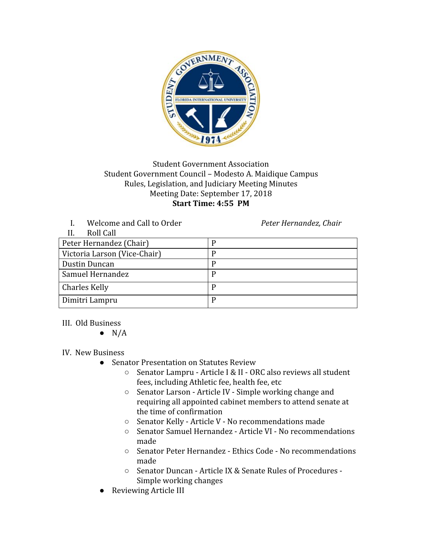

## Student Government Association Student Government Council – Modesto A. Maidique Campus Rules, Legislation, and Judiciary Meeting Minutes Meeting Date: September 17, 2018 **Start Time: 4:55 PM**

I. Welcome and Call to Order *Peter Hernandez, Chair*

| Roll Call                    |   |
|------------------------------|---|
| Peter Hernandez (Chair)      |   |
| Victoria Larson (Vice-Chair) |   |
| Dustin Duncan                | P |
| Samuel Hernandez             | P |
| <b>Charles Kelly</b>         | P |
| Dimitri Lampru               |   |

III. Old Business

 $\bullet$  N/A

IV. New Business

- Senator Presentation on Statutes Review
	- Senator Lampru Article I & II ORC also reviews all student fees, including Athletic fee, health fee, etc
	- Senator Larson Article IV Simple working change and requiring all appointed cabinet members to attend senate at the time of confirmation
	- Senator Kelly Article V No recommendations made
	- Senator Samuel Hernandez Article VI No recommendations made
	- Senator Peter Hernandez Ethics Code No recommendations made
	- Senator Duncan Article IX & Senate Rules of Procedures Simple working changes
- Reviewing Article III